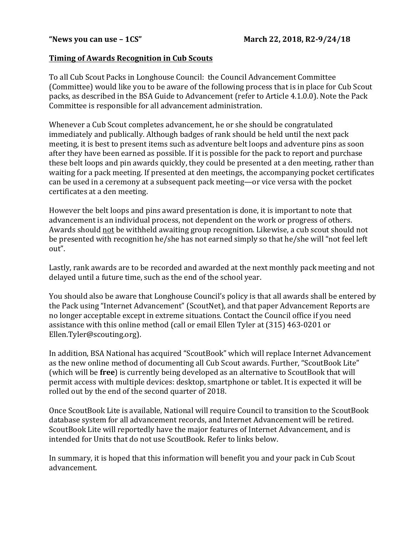## **Timing of Awards Recognition in Cub Scouts**

To all Cub Scout Packs in Longhouse Council: the Council Advancement Committee (Committee) would like you to be aware of the following process that is in place for Cub Scout packs, as described in the BSA Guide to Advancement (refer to Article 4.1.0.0). Note the Pack Committee is responsible for all advancement administration.

Whenever a Cub Scout completes advancement, he or she should be congratulated immediately and publically. Although badges of rank should be held until the next pack meeting, it is best to present items such as adventure belt loops and adventure pins as soon after they have been earned as possible. If it is possible for the pack to report and purchase these belt loops and pin awards quickly, they could be presented at a den meeting, rather than waiting for a pack meeting. If presented at den meetings, the accompanying pocket certificates can be used in a ceremony at a subsequent pack meeting—or vice versa with the pocket certificates at a den meeting.

However the belt loops and pins award presentation is done, it is important to note that advancement is an individual process, not dependent on the work or progress of others. Awards should not be withheld awaiting group recognition. Likewise, a cub scout should not be presented with recognition he/she has not earned simply so that he/she will "not feel left out".

Lastly, rank awards are to be recorded and awarded at the next monthly pack meeting and not delayed until a future time, such as the end of the school year.

You should also be aware that Longhouse Council's policy is that all awards shall be entered by the Pack using "Internet Advancement" (ScoutNet), and that paper Advancement Reports are no longer acceptable except in extreme situations. Contact the Council office if you need assistance with this online method (call or email Ellen Tyler at (315) 463-0201 or Ellen.Tyler@scouting.org).

In addition, BSA National has acquired "ScoutBook" which will replace Internet Advancement as the new online method of documenting all Cub Scout awards. Further, "ScoutBook Lite" (which will be free) is currently being developed as an alternative to ScoutBook that will permit access with multiple devices: desktop, smartphone or tablet. It is expected it will be rolled out by the end of the second quarter of 2018.

Once ScoutBook Lite is available, National will require Council to transition to the ScoutBook database system for all advancement records, and Internet Advancement will be retired. ScoutBook Lite will reportedly have the major features of Internet Advancement, and is intended for Units that do not use ScoutBook. Refer to links below.

In summary, it is hoped that this information will benefit you and your pack in Cub Scout advancement.